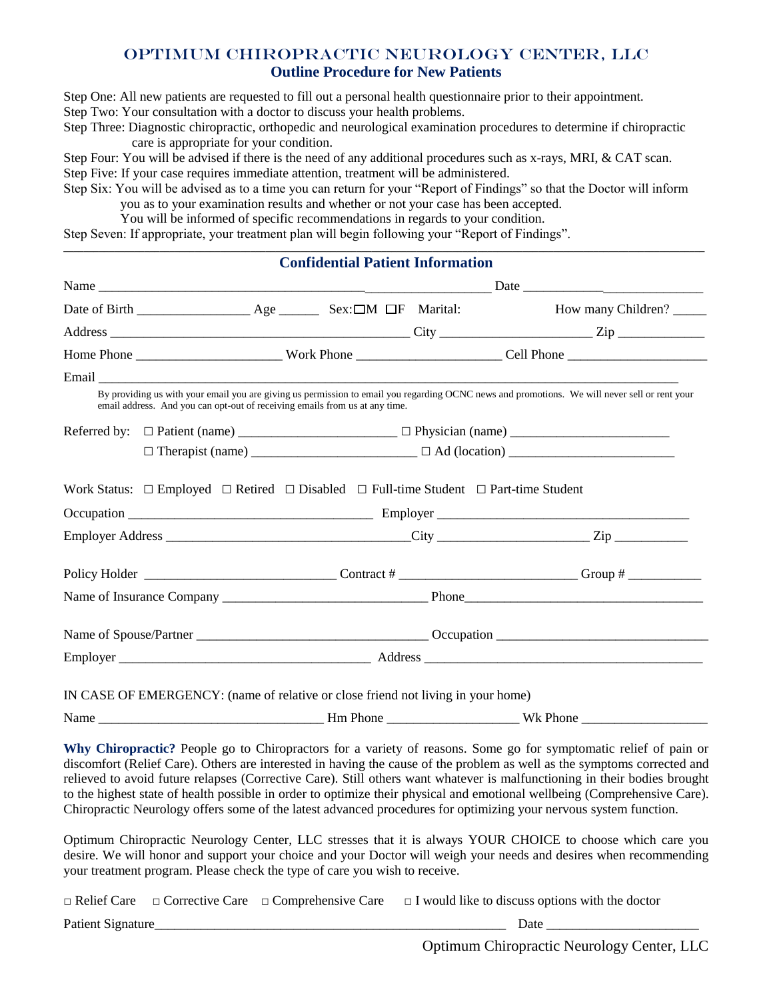## Optimum Chiropractic Neurology Center, LLC **Outline Procedure for New Patients**

Step One: All new patients are requested to fill out a personal health questionnaire prior to their appointment.

Step Two: Your consultation with a doctor to discuss your health problems.

Step Three: Diagnostic chiropractic, orthopedic and neurological examination procedures to determine if chiropractic care is appropriate for your condition.

Step Four: You will be advised if there is the need of any additional procedures such as x-rays, MRI, & CAT scan. Step Five: If your case requires immediate attention, treatment will be administered.

Step Six: You will be advised as to a time you can return for your "Report of Findings" so that the Doctor will inform you as to your examination results and whether or not your case has been accepted.

**\_\_\_\_\_\_\_\_\_\_\_\_\_\_\_\_\_\_\_\_\_\_\_\_\_\_\_\_\_\_\_\_\_\_\_\_\_\_\_\_\_\_\_\_\_\_\_\_\_\_\_\_\_\_\_\_\_\_\_\_\_\_\_\_\_\_\_\_\_\_\_\_\_\_\_\_\_\_\_\_\_\_\_\_\_\_\_\_\_\_\_\_\_\_\_\_\_\_\_\_\_\_\_\_\_\_\_\_\_\_\_\_\_\_\_\_\_\_\_\_\_\_\_\_\_\_\_** 

You will be informed of specific recommendations in regards to your condition.

Step Seven: If appropriate, your treatment plan will begin following your "Report of Findings".

|  | <b>Confidential Patient Information</b>                                                                       |  |                                                                                                                                                                                                                                                                                                                                                                                                                                                                                                                                                                                                                                                                                                                                                                                                                                                                |
|--|---------------------------------------------------------------------------------------------------------------|--|----------------------------------------------------------------------------------------------------------------------------------------------------------------------------------------------------------------------------------------------------------------------------------------------------------------------------------------------------------------------------------------------------------------------------------------------------------------------------------------------------------------------------------------------------------------------------------------------------------------------------------------------------------------------------------------------------------------------------------------------------------------------------------------------------------------------------------------------------------------|
|  |                                                                                                               |  |                                                                                                                                                                                                                                                                                                                                                                                                                                                                                                                                                                                                                                                                                                                                                                                                                                                                |
|  |                                                                                                               |  | How many Children?                                                                                                                                                                                                                                                                                                                                                                                                                                                                                                                                                                                                                                                                                                                                                                                                                                             |
|  |                                                                                                               |  |                                                                                                                                                                                                                                                                                                                                                                                                                                                                                                                                                                                                                                                                                                                                                                                                                                                                |
|  |                                                                                                               |  |                                                                                                                                                                                                                                                                                                                                                                                                                                                                                                                                                                                                                                                                                                                                                                                                                                                                |
|  |                                                                                                               |  |                                                                                                                                                                                                                                                                                                                                                                                                                                                                                                                                                                                                                                                                                                                                                                                                                                                                |
|  | email address. And you can opt-out of receiving emails from us at any time.                                   |  | By providing us with your email you are giving us permission to email you regarding OCNC news and promotions. We will never sell or rent your                                                                                                                                                                                                                                                                                                                                                                                                                                                                                                                                                                                                                                                                                                                  |
|  |                                                                                                               |  |                                                                                                                                                                                                                                                                                                                                                                                                                                                                                                                                                                                                                                                                                                                                                                                                                                                                |
|  |                                                                                                               |  |                                                                                                                                                                                                                                                                                                                                                                                                                                                                                                                                                                                                                                                                                                                                                                                                                                                                |
|  | Work Status: $\Box$ Employed $\Box$ Retired $\Box$ Disabled $\Box$ Full-time Student $\Box$ Part-time Student |  |                                                                                                                                                                                                                                                                                                                                                                                                                                                                                                                                                                                                                                                                                                                                                                                                                                                                |
|  |                                                                                                               |  |                                                                                                                                                                                                                                                                                                                                                                                                                                                                                                                                                                                                                                                                                                                                                                                                                                                                |
|  |                                                                                                               |  |                                                                                                                                                                                                                                                                                                                                                                                                                                                                                                                                                                                                                                                                                                                                                                                                                                                                |
|  |                                                                                                               |  | Name of Insurance Company Phone Phone Phone Phone Phone Phone Phone Phone Phone Phone Phone Phone Phone Phone Phone Phone Phone Phone Phone Phone Phone Phone Phone Phone Phone Phone Phone Phone Phone Phone Phone Phone Phon                                                                                                                                                                                                                                                                                                                                                                                                                                                                                                                                                                                                                                 |
|  |                                                                                                               |  |                                                                                                                                                                                                                                                                                                                                                                                                                                                                                                                                                                                                                                                                                                                                                                                                                                                                |
|  |                                                                                                               |  |                                                                                                                                                                                                                                                                                                                                                                                                                                                                                                                                                                                                                                                                                                                                                                                                                                                                |
|  | IN CASE OF EMERGENCY: (name of relative or close friend not living in your home)                              |  |                                                                                                                                                                                                                                                                                                                                                                                                                                                                                                                                                                                                                                                                                                                                                                                                                                                                |
|  |                                                                                                               |  | Name Wk Phone Wk Phone Wk Phone 2008                                                                                                                                                                                                                                                                                                                                                                                                                                                                                                                                                                                                                                                                                                                                                                                                                           |
|  | your treatment program. Please check the type of care you wish to receive.                                    |  | Why Chiropractic? People go to Chiropractors for a variety of reasons. Some go for symptomatic relief of pain or<br>discomfort (Relief Care). Others are interested in having the cause of the problem as well as the symptoms corrected and<br>relieved to avoid future relapses (Corrective Care). Still others want whatever is malfunctioning in their bodies brought<br>to the highest state of health possible in order to optimize their physical and emotional wellbeing (Comprehensive Care).<br>Chiropractic Neurology offers some of the latest advanced procedures for optimizing your nervous system function.<br>Optimum Chiropractic Neurology Center, LLC stresses that it is always YOUR CHOICE to choose which care you<br>desire. We will honor and support your choice and your Doctor will weigh your needs and desires when recommending |
|  |                                                                                                               |  | $\Box$ Relief Care $\Box$ Corrective Care $\Box$ Comprehensive Care $\Box$ I would like to discuss options with the doctor                                                                                                                                                                                                                                                                                                                                                                                                                                                                                                                                                                                                                                                                                                                                     |

Patient Signature\_\_\_\_\_\_\_\_\_\_\_\_\_\_\_\_\_\_\_\_\_\_\_\_\_\_\_\_\_\_\_\_\_\_\_\_\_\_\_\_\_\_\_\_\_\_\_\_\_\_\_\_\_ Date \_\_\_\_\_\_\_\_\_\_\_\_\_\_\_\_\_\_\_\_\_\_\_

Optimum Chiropractic Neurology Center, LLC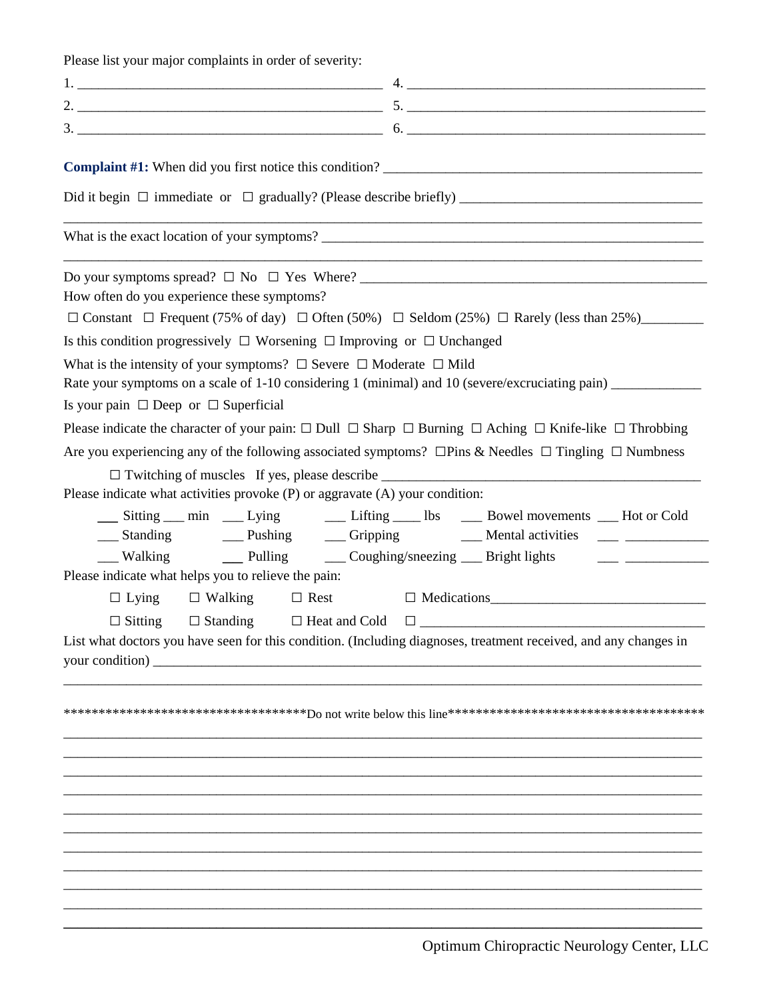Please list your major complaints in order of severity:

| <b>Complaint #1:</b> When did you first notice this condition?                                                                       |
|--------------------------------------------------------------------------------------------------------------------------------------|
|                                                                                                                                      |
| What is the exact location of your symptoms?                                                                                         |
| <u> 1989 - Jan Barbara, Amerikaansk politiker († 1908)</u>                                                                           |
| How often do you experience these symptoms?                                                                                          |
| $\Box$ Constant $\Box$ Frequent (75% of day) $\Box$ Often (50%) $\Box$ Seldom (25%) $\Box$ Rarely (less than 25%)                    |
| Is this condition progressively $\Box$ Worsening $\Box$ Improving or $\Box$ Unchanged                                                |
| What is the intensity of your symptoms? $\Box$ Severe $\Box$ Moderate $\Box$ Mild                                                    |
| Rate your symptoms on a scale of 1-10 considering 1 (minimal) and 10 (severe/excruciating pain) _____________                        |
| Is your pain $\Box$ Deep or $\Box$ Superficial                                                                                       |
| Please indicate the character of your pain: $\Box$ Dull $\Box$ Sharp $\Box$ Burning $\Box$ Aching $\Box$ Knife-like $\Box$ Throbbing |
| Are you experiencing any of the following associated symptoms? $\Box$ Pins & Needles $\Box$ Tingling $\Box$ Numbness                 |
|                                                                                                                                      |
| Please indicate what activities provoke (P) or aggravate (A) your condition:                                                         |
| __ Sitting __ min __ Lying __ Lifting __ lbs __ Bowel movements __ Hot or Cold                                                       |
|                                                                                                                                      |
| Please indicate what helps you to relieve the pain:                                                                                  |
| $\Box$ Lying $\Box$ Walking<br>$\Box$ Rest $\Box$ Medications                                                                        |
| $\Box$ Sitting $\Box$ Standing $\Box$ Heat and Cold $\Box$                                                                           |
| List what doctors you have seen for this condition. (Including diagnoses, treatment received, and any changes in                     |
|                                                                                                                                      |
|                                                                                                                                      |
|                                                                                                                                      |
|                                                                                                                                      |
|                                                                                                                                      |
|                                                                                                                                      |
|                                                                                                                                      |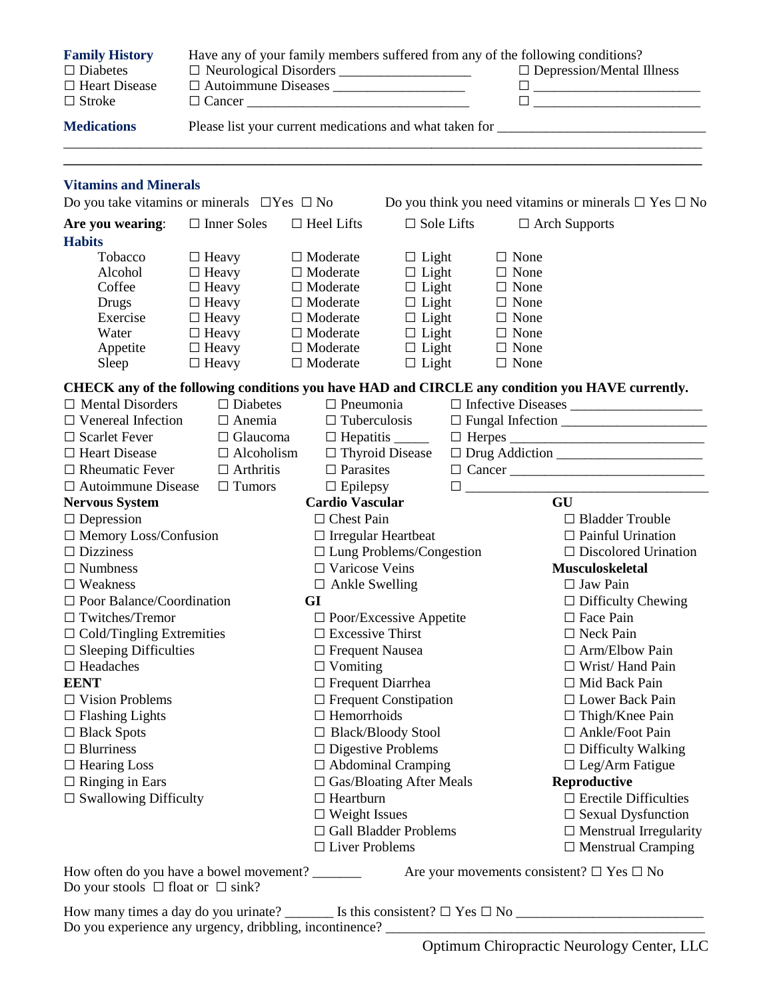| <b>Family History</b><br>$\Box$ Diabetes<br>$\Box$ Heart Disease<br>$\Box$ Stroke | Have any of your family members suffered from any of the following conditions?<br>$\Box$ Cancer              |                                                                                                                                   |                                                                                                              |                   |                                                                                                       | $\Box$ Depression/Mental Illness<br>$\Box$ and $\Box$ and $\Box$ and $\Box$ and $\Box$ and $\Box$ and $\Box$ and $\Box$ and $\Box$ and $\Box$ and $\Box$ and $\Box$ and $\Box$ and $\Box$ and $\Box$ and $\Box$ and $\Box$ and $\Box$ and $\Box$ and $\Box$ and $\Box$ and $\Box$ and $\Box$ and $\Box$ and $\Box$ |
|-----------------------------------------------------------------------------------|--------------------------------------------------------------------------------------------------------------|-----------------------------------------------------------------------------------------------------------------------------------|--------------------------------------------------------------------------------------------------------------|-------------------|-------------------------------------------------------------------------------------------------------|--------------------------------------------------------------------------------------------------------------------------------------------------------------------------------------------------------------------------------------------------------------------------------------------------------------------|
| <b>Medications</b>                                                                |                                                                                                              |                                                                                                                                   |                                                                                                              |                   |                                                                                                       |                                                                                                                                                                                                                                                                                                                    |
| <b>Vitamins and Minerals</b>                                                      |                                                                                                              |                                                                                                                                   |                                                                                                              |                   |                                                                                                       |                                                                                                                                                                                                                                                                                                                    |
| Do you take vitamins or minerals $\Box$ Yes $\Box$ No                             |                                                                                                              |                                                                                                                                   |                                                                                                              |                   |                                                                                                       | Do you think you need vitamins or minerals $\Box$ Yes $\Box$ No                                                                                                                                                                                                                                                    |
| Are you wearing:<br><b>Habits</b>                                                 | $\Box$ Inner Soles                                                                                           | $\Box$ Heel Lifts                                                                                                                 |                                                                                                              | $\Box$ Sole Lifts |                                                                                                       | $\Box$ Arch Supports                                                                                                                                                                                                                                                                                               |
| Tobacco<br>Alcohol<br>Coffee<br>Drugs<br>Exercise<br>Water<br>Appetite            | $\Box$ Heavy<br>$\Box$ Heavy<br>$\Box$ Heavy<br>$\Box$ Heavy<br>$\Box$ Heavy<br>$\Box$ Heavy<br>$\Box$ Heavy | $\Box$ Moderate<br>$\Box$ Moderate<br>$\Box$ Moderate<br>$\Box$ Moderate<br>$\Box$ Moderate<br>$\Box$ Moderate<br>$\Box$ Moderate | $\Box$ Light<br>$\Box$ Light<br>$\Box$ Light<br>$\Box$ Light<br>$\Box$ Light<br>$\Box$ Light<br>$\Box$ Light |                   | $\Box$ None<br>$\Box$ None<br>$\Box$ None<br>$\Box$ None<br>$\Box$ None<br>$\Box$ None<br>$\Box$ None |                                                                                                                                                                                                                                                                                                                    |
| Sleep                                                                             | $\Box$ Heavy                                                                                                 | $\Box$ Moderate                                                                                                                   | $\Box$ Light                                                                                                 |                   | $\Box$ None                                                                                           |                                                                                                                                                                                                                                                                                                                    |
| $\Box$ Mental Disorders                                                           | $\Box$ Diabetes                                                                                              |                                                                                                                                   | $\Box$ Pneumonia                                                                                             |                   |                                                                                                       | CHECK any of the following conditions you have HAD and CIRCLE any condition you HAVE currently.<br>□ Infective Diseases                                                                                                                                                                                            |
| $\Box$ Venereal Infection                                                         | $\Box$ Anemia                                                                                                |                                                                                                                                   | $\Box$ Tuberculosis                                                                                          |                   |                                                                                                       |                                                                                                                                                                                                                                                                                                                    |
| $\Box$ Scarlet Fever                                                              | $\Box$ Glaucoma                                                                                              |                                                                                                                                   |                                                                                                              |                   |                                                                                                       | $\hfill \Box \ \mathsf{Herpes} \xrightarrow{\hspace*{1.5cm}} \qquad \qquad \qquad \Box$                                                                                                                                                                                                                            |
| □ Heart Disease                                                                   | $\Box$ Alcoholism                                                                                            |                                                                                                                                   | $\Box$ Thyroid Disease                                                                                       |                   |                                                                                                       | $\hfill \Box$ $\hfill \Box$ $\hfill \Box$                                                                                                                                                                                                                                                                          |
| $\Box$ Rheumatic Fever                                                            | $\Box$ Arthritis                                                                                             | $\Box$ Parasites                                                                                                                  |                                                                                                              |                   |                                                                                                       | $\Box$ Cancer                                                                                                                                                                                                                                                                                                      |
| $\Box$ Autoimmune Disease $\Box$ Tumors                                           |                                                                                                              | $\Box$ Epilepsy                                                                                                                   |                                                                                                              |                   |                                                                                                       |                                                                                                                                                                                                                                                                                                                    |
| <b>Nervous System</b>                                                             |                                                                                                              | <b>Cardio Vascular</b>                                                                                                            |                                                                                                              |                   |                                                                                                       | GU                                                                                                                                                                                                                                                                                                                 |
| $\Box$ Depression                                                                 |                                                                                                              | $\Box$ Chest Pain                                                                                                                 |                                                                                                              |                   |                                                                                                       | $\Box$ Bladder Trouble                                                                                                                                                                                                                                                                                             |
| $\Box$ Memory Loss/Confusion                                                      |                                                                                                              | $\Box$ Irregular Heartbeat                                                                                                        |                                                                                                              |                   |                                                                                                       | $\Box$ Painful Urination                                                                                                                                                                                                                                                                                           |
| $\Box$ Dizziness                                                                  |                                                                                                              |                                                                                                                                   | $\Box$ Lung Problems/Congestion                                                                              |                   |                                                                                                       | $\Box$ Discolored Urination                                                                                                                                                                                                                                                                                        |
| $\Box$ Numbness                                                                   |                                                                                                              |                                                                                                                                   | $\Box$ Varicose Veins                                                                                        |                   |                                                                                                       | <b>Musculoskeletal</b>                                                                                                                                                                                                                                                                                             |
| $\Box$ Weakness                                                                   |                                                                                                              |                                                                                                                                   | $\Box$ Ankle Swelling                                                                                        |                   |                                                                                                       | $\Box$ Jaw Pain                                                                                                                                                                                                                                                                                                    |
| $\Box$ Poor Balance/Coordination                                                  |                                                                                                              |                                                                                                                                   | GI                                                                                                           |                   |                                                                                                       | $\Box$ Difficulty Chewing                                                                                                                                                                                                                                                                                          |
| $\Box$ Twitches/Tremor                                                            |                                                                                                              |                                                                                                                                   | $\Box$ Poor/Excessive Appetite                                                                               |                   |                                                                                                       | $\Box$ Face Pain                                                                                                                                                                                                                                                                                                   |
| $\Box$ Cold/Tingling Extremities                                                  |                                                                                                              |                                                                                                                                   | $\Box$ Excessive Thirst                                                                                      |                   |                                                                                                       | $\Box$ Neck Pain                                                                                                                                                                                                                                                                                                   |
| $\Box$ Sleeping Difficulties                                                      |                                                                                                              | □ Frequent Nausea                                                                                                                 |                                                                                                              |                   | $\Box$ Arm/Elbow Pain                                                                                 |                                                                                                                                                                                                                                                                                                                    |
| $\Box$ Headaches                                                                  |                                                                                                              | $\Box$ Vomiting                                                                                                                   |                                                                                                              |                   | $\Box$ Wrist/Hand Pain                                                                                |                                                                                                                                                                                                                                                                                                                    |
| <b>EENT</b>                                                                       |                                                                                                              | $\Box$ Frequent Diarrhea                                                                                                          |                                                                                                              |                   |                                                                                                       | $\Box$ Mid Back Pain                                                                                                                                                                                                                                                                                               |
| $\Box$ Vision Problems                                                            |                                                                                                              | $\Box$ Frequent Constipation                                                                                                      |                                                                                                              |                   | $\Box$ Lower Back Pain                                                                                |                                                                                                                                                                                                                                                                                                                    |
| $\Box$ Flashing Lights                                                            |                                                                                                              | $\Box$ Hemorrhoids                                                                                                                |                                                                                                              |                   | $\Box$ Thigh/Knee Pain                                                                                |                                                                                                                                                                                                                                                                                                                    |
| $\Box$ Black Spots                                                                |                                                                                                              | □ Black/Bloody Stool                                                                                                              |                                                                                                              |                   | □ Ankle/Foot Pain                                                                                     |                                                                                                                                                                                                                                                                                                                    |
| $\Box$ Blurriness                                                                 |                                                                                                              | $\Box$ Digestive Problems                                                                                                         |                                                                                                              |                   | $\Box$ Difficulty Walking                                                                             |                                                                                                                                                                                                                                                                                                                    |
| $\Box$ Hearing Loss                                                               |                                                                                                              | $\Box$ Abdominal Cramping                                                                                                         |                                                                                                              |                   | $\Box$ Leg/Arm Fatigue                                                                                |                                                                                                                                                                                                                                                                                                                    |
| $\Box$ Ringing in Ears                                                            |                                                                                                              | $\Box$ Gas/Bloating After Meals                                                                                                   |                                                                                                              |                   | Reproductive                                                                                          |                                                                                                                                                                                                                                                                                                                    |
| $\Box$ Swallowing Difficulty<br>$\Box$ Heartburn                                  |                                                                                                              |                                                                                                                                   |                                                                                                              |                   |                                                                                                       | $\Box$ Erectile Difficulties                                                                                                                                                                                                                                                                                       |
|                                                                                   |                                                                                                              | $\Box$ Weight Issues                                                                                                              |                                                                                                              |                   |                                                                                                       | $\Box$ Sexual Dysfunction                                                                                                                                                                                                                                                                                          |
|                                                                                   |                                                                                                              |                                                                                                                                   | $\Box$ Gall Bladder Problems                                                                                 |                   |                                                                                                       | $\Box$ Menstrual Irregularity                                                                                                                                                                                                                                                                                      |
|                                                                                   |                                                                                                              | $\Box$ Liver Problems                                                                                                             |                                                                                                              |                   |                                                                                                       | $\Box$ Menstrual Cramping                                                                                                                                                                                                                                                                                          |
| How often do you have a bowel movement?                                           |                                                                                                              |                                                                                                                                   |                                                                                                              |                   |                                                                                                       | Are your movements consistent? $\Box$ Yes $\Box$ No                                                                                                                                                                                                                                                                |

Do your stools  $\Box$  float or  $\Box$  sink?

How many times a day do you urinate? \_\_\_\_\_\_\_ Is this consistent? □ Yes □ No \_\_\_\_\_\_\_\_\_\_\_\_\_\_\_\_\_\_\_\_\_\_\_\_\_\_\_ Do you experience any urgency, dribbling, incontinence? \_\_\_\_\_\_\_\_\_\_\_\_\_\_\_\_\_\_\_\_\_\_\_\_\_\_\_\_\_\_\_\_\_\_\_\_\_\_\_\_\_\_\_\_\_\_